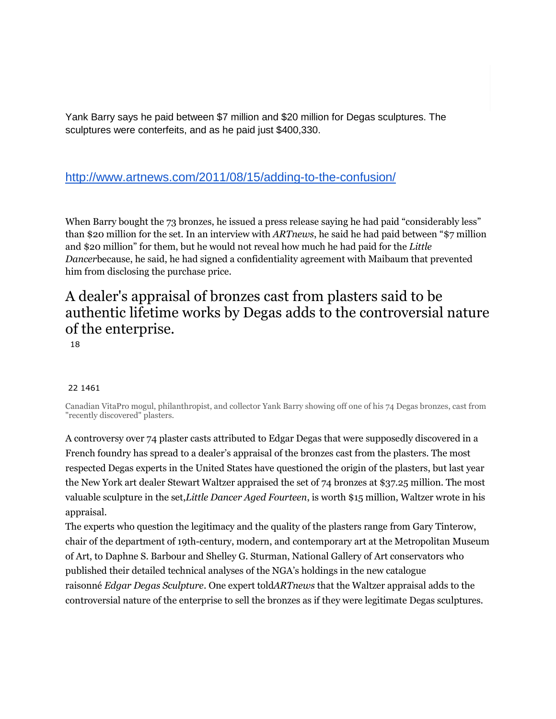Yank Barry says he paid between \$7 million and \$20 million for Degas sculptures. The sculptures were conterfeits, and as he paid just \$400,330.

## <http://www.artnews.com/2011/08/15/adding-to-the-confusion/>

When Barry bought the 73 bronzes, he issued a press release saying he had paid "considerably less" than \$20 million for the set. In an interview with *ARTnews*, he said he had paid between "\$7 million and \$20 million" for them, but he would not reveal how much he had paid for the *Little Dancer*because, he said, he had signed a confidentiality agreement with Maibaum that prevented him from disclosing the purchase price.

## A dealer's appraisal of bronzes cast from plasters said to be authentic lifetime works by Degas adds to the controversial nature of the enterprise.

18

## 22 1461

Canadian VitaPro mogul, philanthropist, and collector Yank Barry showing off one of his 74 Degas bronzes, cast from "recently discovered" plasters.

A controversy over 74 plaster casts attributed to Edgar Degas that were supposedly discovered in a French foundry has spread to a dealer's appraisal of the bronzes cast from the plasters. The most respected Degas experts in the United States have questioned the origin of the plasters, but last year the New York art dealer Stewart Waltzer appraised the set of 74 bronzes at \$37.25 million. The most valuable sculpture in the set,*Little Dancer Aged Fourteen*, is worth \$15 million, Waltzer wrote in his appraisal.

The experts who question the legitimacy and the quality of the plasters range from Gary Tinterow, chair of the department of 19th-century, modern, and contemporary art at the Metropolitan Museum of Art, to Daphne S. Barbour and Shelley G. Sturman, National Gallery of Art conservators who published their detailed technical analyses of the NGA's holdings in the new catalogue raisonné *Edgar Degas Sculpture*. One expert told*ARTnews* that the Waltzer appraisal adds to the controversial nature of the enterprise to sell the bronzes as if they were legitimate Degas sculptures.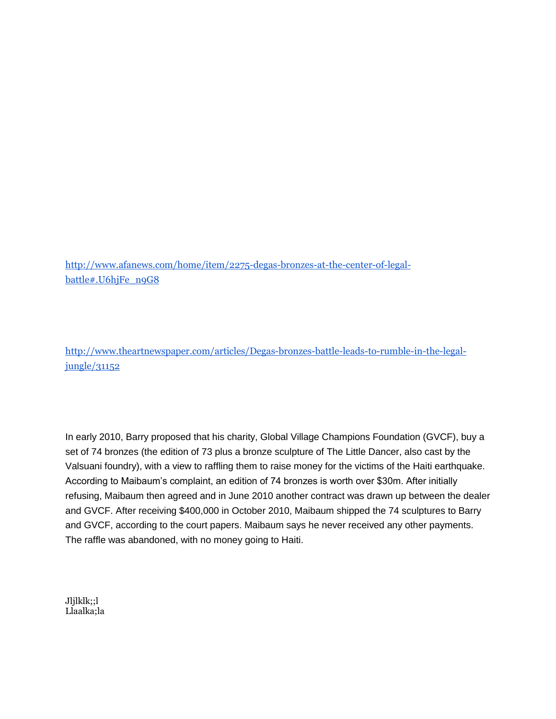[http://www.afanews.com/home/item/2275-degas-bronzes-at-the-center-of-legal](http://www.afanews.com/home/item/2275-degas-bronzes-at-the-center-of-legal-battle#.U6hjFe_n9G8)[battle#.U6hjFe\\_n9G8](http://www.afanews.com/home/item/2275-degas-bronzes-at-the-center-of-legal-battle#.U6hjFe_n9G8)

[http://www.theartnewspaper.com/articles/Degas-bronzes-battle-leads-to-rumble-in-the-legal](http://www.theartnewspaper.com/articles/Degas-bronzes-battle-leads-to-rumble-in-the-legal-jungle/31152)[jungle/31152](http://www.theartnewspaper.com/articles/Degas-bronzes-battle-leads-to-rumble-in-the-legal-jungle/31152)

In early 2010, Barry proposed that his charity, Global Village Champions Foundation (GVCF), buy a set of 74 bronzes (the edition of 73 plus a bronze sculpture of The Little Dancer, also cast by the Valsuani foundry), with a view to raffling them to raise money for the victims of the Haiti earthquake. According to Maibaum's complaint, an edition of 74 bronzes is worth over \$30m. After initially refusing, Maibaum then agreed and in June 2010 another contract was drawn up between the dealer and GVCF. After receiving \$400,000 in October 2010, Maibaum shipped the 74 sculptures to Barry and GVCF, according to the court papers. Maibaum says he never received any other payments. The raffle was abandoned, with no money going to Haiti.

Jljlklk;;l Llaalka;la